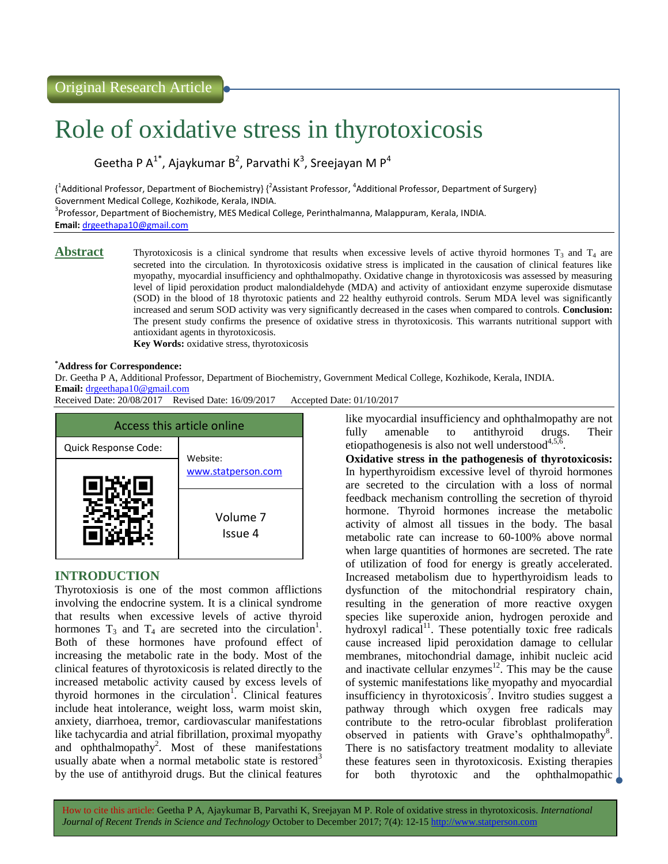# Role of oxidative stress in thyrotoxicosis

Geetha P A<sup>1\*</sup>, Ajaykumar B<sup>2</sup>, Parvathi K<sup>3</sup>, Sreejayan M P<sup>4</sup>

 $\{\lambda^1$ Additional Professor, Department of Biochemistry}  $\{\lambda^2$ Assistant Professor,  $\lambda^4$ Additional Professor, Department of Surgery} Government Medical College, Kozhikode, Kerala, INDIA. <sup>3</sup> Professor, Department of Biochemistry, MES Medical College, Perinthalmanna, Malappuram, Kerala, INDIA.

**Email:** [drgeethapa10@gmail.com](mailto:drgeethapa10@gmail.com)

**Abstract** Thyrotoxicosis is a clinical syndrome that results when excessive levels of active thyroid hormones  $T_3$  and  $T_4$  are secreted into the circulation. In thyrotoxicosis oxidative stress is implicated in the causation of clinical features like myopathy, myocardial insufficiency and ophthalmopathy. Oxidative change in thyrotoxicosis was assessed by measuring level of lipid peroxidation product malondialdehyde (MDA) and activity of antioxidant enzyme superoxide dismutase (SOD) in the blood of 18 thyrotoxic patients and 22 healthy euthyroid controls. Serum MDA level was significantly increased and serum SOD activity was very significantly decreased in the cases when compared to controls. **Conclusion:**  The present study confirms the presence of oxidative stress in thyrotoxicosis. This warrants nutritional support with antioxidant agents in thyrotoxicosis.

**Key Words:** oxidative stress, thyrotoxicosis

## **\*Address for Correspondence:**

Dr. Geetha P A, Additional Professor, Department of Biochemistry, Government Medical College, Kozhikode, Kerala, INDIA. **Email:** [drgeethapa10@gmail.com](mailto:drgeethapa10@gmail.com)

Received Date: 20/08/2017 Revised Date: 16/09/2017 Accepted Date: 01/10/2017



# **INTRODUCTION**

Thyrotoxiosis is one of the most common afflictions involving the endocrine system. It is a clinical syndrome that results when excessive levels of active thyroid hormones  $T_3$  and  $T_4$  are secreted into the circulation<sup>1</sup>. Both of these hormones have profound effect of increasing the metabolic rate in the body. Most of the clinical features of thyrotoxicosis is related directly to the increased metabolic activity caused by excess levels of thyroid hormones in the circulation<sup>1</sup>. Clinical features include heat intolerance, weight loss, warm moist skin, anxiety, diarrhoea, tremor, cardiovascular manifestations like tachycardia and atrial fibrillation, proximal myopathy and ophthalmopathy<sup>2</sup>. Most of these manifestations usually abate when a normal metabolic state is restored<sup>3</sup> by the use of antithyroid drugs. But the clinical features

like myocardial insufficiency and ophthalmopathy are not fully amenable to antithyroid drugs. Their etiopathogenesis is also not well understood $4,5,6$ .

**Oxidative stress in the pathogenesis of thyrotoxicosis:**  In hyperthyroidism excessive level of thyroid hormones are secreted to the circulation with a loss of normal feedback mechanism controlling the secretion of thyroid hormone. Thyroid hormones increase the metabolic activity of almost all tissues in the body. The basal metabolic rate can increase to 60-100% above normal when large quantities of hormones are secreted. The rate of utilization of food for energy is greatly accelerated. Increased metabolism due to hyperthyroidism leads to dysfunction of the mitochondrial respiratory chain, resulting in the generation of more reactive oxygen species like superoxide anion, hydrogen peroxide and hydroxyl radical $11$ . These potentially toxic free radicals cause increased lipid peroxidation damage to cellular membranes, mitochondrial damage, inhibit nucleic acid and inactivate cellular enzymes $12<sup>2</sup>$ . This may be the cause of systemic manifestations like myopathy and myocardial insufficiency in thyrotoxicosis<sup>7</sup>. Invitro studies suggest a pathway through which oxygen free radicals may contribute to the retro-ocular fibroblast proliferation observed in patients with Grave's ophthalmopathy<sup>8</sup>. There is no satisfactory treatment modality to alleviate these features seen in thyrotoxicosis. Existing therapies for both thyrotoxic and the ophthalmopathic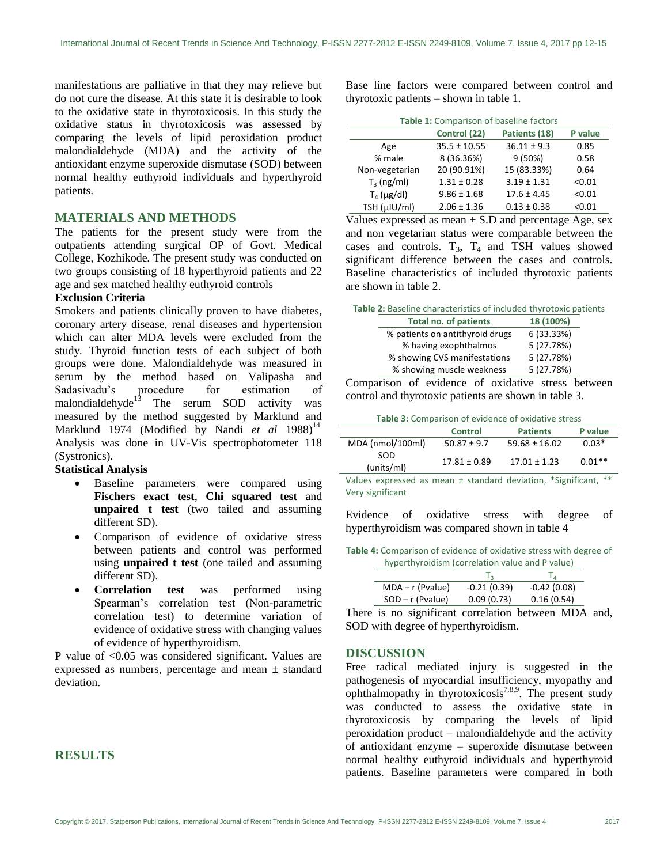manifestations are palliative in that they may relieve but do not cure the disease. At this state it is desirable to look to the oxidative state in thyrotoxicosis. In this study the oxidative status in thyrotoxicosis was assessed by comparing the levels of lipid peroxidation product malondialdehyde (MDA) and the activity of the antioxidant enzyme superoxide dismutase (SOD) between normal healthy euthyroid individuals and hyperthyroid patients.

# **MATERIALS AND METHODS**

The patients for the present study were from the outpatients attending surgical OP of Govt. Medical College, Kozhikode. The present study was conducted on two groups consisting of 18 hyperthyroid patients and 22 age and sex matched healthy euthyroid controls

## **Exclusion Criteria**

Smokers and patients clinically proven to have diabetes, coronary artery disease, renal diseases and hypertension which can alter MDA levels were excluded from the study*.* Thyroid function tests of each subject of both groups were done. Malondialdehyde was measured in serum by the method based on Valipasha and Sadasivadu's procedure for estimation of Sadasivadu's procedure for estimation of malondialdehyde $13$  The serum SOD activity was measured by the method suggested by Marklund and Marklund 1974 (Modified by Nandi et al 1988)<sup>14.</sup> Analysis was done in UV-Vis spectrophotometer 118 (Systronics).

## **Statistical Analysis**

- Baseline parameters were compared using **Fischers exact test**, **Chi squared test** and **unpaired t test** (two tailed and assuming different SD).
- Comparison of evidence of oxidative stress between patients and control was performed using **unpaired t test** (one tailed and assuming different SD).
- **Correlation test** was performed using Spearman's correlation test (Non-parametric correlation test) to determine variation of evidence of oxidative stress with changing values of evidence of hyperthyroidism.

P value of <0.05 was considered significant. Values are expressed as numbers, percentage and mean ± standard deviation.

# **RESULTS**

Base line factors were compared between control and thyrotoxic patients – shown in table 1.

**Table 1:** Comparison of baseline factors

| Control (22)     | Patients (18)   | P value |
|------------------|-----------------|---------|
| $35.5 \pm 10.55$ | $36.11 \pm 9.3$ | 0.85    |
| 8 (36.36%)       | 9(50%)          | 0.58    |
| 20 (90.91%)      | 15 (83.33%)     | 0.64    |
| $1.31 \pm 0.28$  | $3.19 \pm 1.31$ | < 0.01  |
| $9.86 \pm 1.68$  | $17.6 \pm 4.45$ | < 0.01  |
| $2.06 \pm 1.36$  | $0.13 \pm 0.38$ | < 0.01  |
|                  |                 |         |

Values expressed as mean  $\pm$  S.D and percentage Age, sex and non vegetarian status were comparable between the cases and controls.  $T_3$ ,  $T_4$  and TSH values showed significant difference between the cases and controls. Baseline characteristics of included thyrotoxic patients are shown in table 2.

| Table 2: Baseline characteristics of included thyrotoxic patients |                                 |            |  |  |
|-------------------------------------------------------------------|---------------------------------|------------|--|--|
|                                                                   | <b>Total no. of patients</b>    | 18 (100%)  |  |  |
|                                                                   | % patients on antithyroid drugs | 6 (33.33%) |  |  |
|                                                                   | % having exophthalmos           | 5 (27.78%) |  |  |
|                                                                   | % showing CVS manifestations    | 5 (27.78%) |  |  |
|                                                                   | % showing muscle weakness       | 5 (27.78%) |  |  |

Comparison of evidence of oxidative stress between control and thyrotoxic patients are shown in table 3.

|                   | <b>Control</b>   | <b>Patients</b>   | P value  |
|-------------------|------------------|-------------------|----------|
| MDA (nmol/100ml)  | $50.87 \pm 9.7$  | $59.68 \pm 16.02$ | $0.03*$  |
| SOD<br>(units/ml) | $17.81 \pm 0.89$ | $17.01 \pm 1.23$  | $0.01**$ |

Values expressed as mean ± standard deviation, \*Significant, \*\* Very significant

Evidence of oxidative stress with degree of hyperthyroidism was compared shown in table 4

**Table 4:** Comparison of evidence of oxidative stress with degree of hyperthyroidism (correlation value and P value)

| $MDA - r$ (Pvalue) | $-0.21(0.39)$ | $-0.42(0.08)$ |
|--------------------|---------------|---------------|
| $SOD - r$ (Pvalue) | 0.09(0.73)    | 0.16(0.54)    |
|                    |               |               |

There is no significant correlation between MDA and, SOD with degree of hyperthyroidism.

## **DISCUSSION**

Free radical mediated injury is suggested in the pathogenesis of myocardial insufficiency, myopathy and ophthalmopathy in thyrotoxicosis<sup>7,8,9</sup>. The present study was conducted to assess the oxidative state in thyrotoxicosis by comparing the levels of lipid peroxidation product – malondialdehyde and the activity of antioxidant enzyme – superoxide dismutase between normal healthy euthyroid individuals and hyperthyroid patients. Baseline parameters were compared in both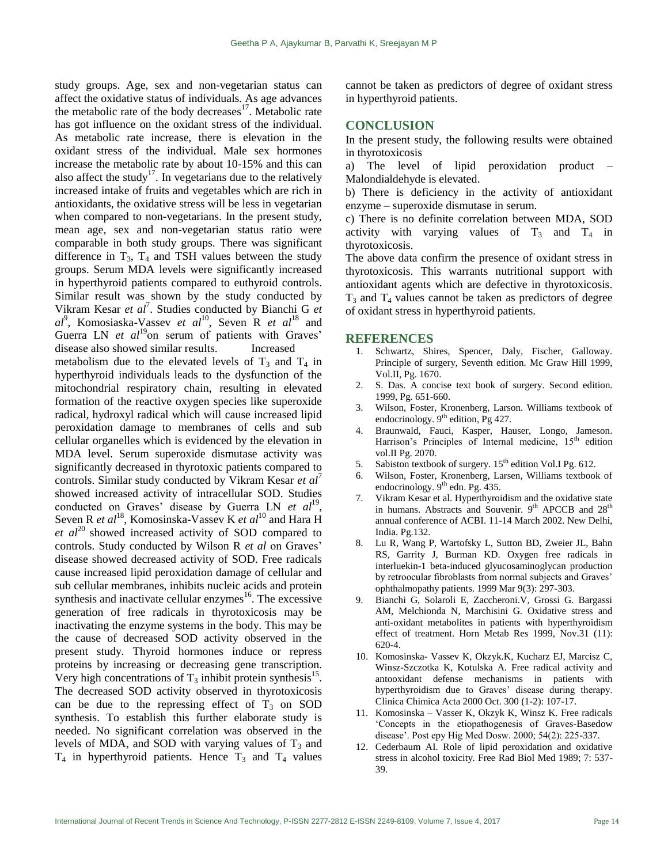study groups. Age, sex and non-vegetarian status can affect the oxidative status of individuals. As age advances the metabolic rate of the body decreases $17$ . Metabolic rate has got influence on the oxidant stress of the individual. As metabolic rate increase, there is elevation in the oxidant stress of the individual. Male sex hormones increase the metabolic rate by about 10-15% and this can also affect the study<sup>17</sup>. In vegetarians due to the relatively increased intake of fruits and vegetables which are rich in antioxidants, the oxidative stress will be less in vegetarian when compared to non-vegetarians. In the present study, mean age, sex and non-vegetarian status ratio were comparable in both study groups. There was significant difference in  $T_3$ ,  $T_4$  and TSH values between the study groups. Serum MDA levels were significantly increased in hyperthyroid patients compared to euthyroid controls. Similar result was shown by the study conducted by Vikram Kesar *et al*<sup>7</sup>. Studies conducted by Bianchi G *et al*9 , Komosiaska-Vassev *et al*<sup>10</sup>, Seven R *et al*<sup>18</sup> and Guerra LN *et al*<sup>19</sup>on serum of patients with Graves' disease also showed similar results. Increased metabolism due to the elevated levels of  $T_3$  and  $T_4$  in hyperthyroid individuals leads to the dysfunction of the mitochondrial respiratory chain, resulting in elevated formation of the reactive oxygen species like superoxide radical, hydroxyl radical which will cause increased lipid peroxidation damage to membranes of cells and sub cellular organelles which is evidenced by the elevation in MDA level. Serum superoxide dismutase activity was significantly decreased in thyrotoxic patients compared to controls. Similar study conducted by Vikram Kesar *et al'* showed increased activity of intracellular SOD. Studies conducted on Graves' disease by Guerra LN *et al*<sup>19</sup>, Seven R *et al*<sup>18</sup>, Komosinska-Vassev K *et al*<sup>10</sup> and Hara H *et al*<sup>20</sup> showed increased activity of SOD compared to controls. Study conducted by Wilson R *et al* on Graves' disease showed decreased activity of SOD. Free radicals cause increased lipid peroxidation damage of cellular and sub cellular membranes, inhibits nucleic acids and protein synthesis and inactivate cellular enzymes $16$ . The excessive generation of free radicals in thyrotoxicosis may be inactivating the enzyme systems in the body. This may be the cause of decreased SOD activity observed in the present study. Thyroid hormones induce or repress proteins by increasing or decreasing gene transcription. Very high concentrations of  $T_3$  inhibit protein synthesis<sup>15</sup>. The decreased SOD activity observed in thyrotoxicosis can be due to the repressing effect of  $T_3$  on SOD synthesis. To establish this further elaborate study is needed. No significant correlation was observed in the levels of MDA, and SOD with varying values of  $T_3$  and  $T_4$  in hyperthyroid patients. Hence  $T_3$  and  $T_4$  values

cannot be taken as predictors of degree of oxidant stress in hyperthyroid patients.

#### **CONCLUSION**

In the present study, the following results were obtained in thyrotoxicosis

a) The level of lipid peroxidation product – Malondialdehyde is elevated.

b) There is deficiency in the activity of antioxidant enzyme – superoxide dismutase in serum.

c) There is no definite correlation between MDA, SOD activity with varying values of  $T_3$  and  $T_4$  in thyrotoxicosis.

The above data confirm the presence of oxidant stress in thyrotoxicosis. This warrants nutritional support with antioxidant agents which are defective in thyrotoxicosis.  $T_3$  and  $T_4$  values cannot be taken as predictors of degree of oxidant stress in hyperthyroid patients.

#### **REFERENCES**

- 1. Schwartz, Shires, Spencer, Daly, Fischer, Galloway. Principle of surgery, Seventh edition. Mc Graw Hill 1999, Vol.II, Pg. 1670.
- 2. S. Das. A concise text book of surgery. Second edition. 1999, Pg. 651-660.
- 3. Wilson, Foster, Kronenberg, Larson. Williams textbook of endocrinology.  $9<sup>th</sup>$  edition, Pg 427.
- 4. Braunwald, Fauci, Kasper, Hauser, Longo, Jameson. Harrison's Principles of Internal medicine, 15<sup>th</sup> edition vol.II Pg. 2070.
- 5. Sabiston textbook of surgery. 15<sup>th</sup> edition Vol.I Pg. 612.
- 6. Wilson, Foster, Kronenberg, Larsen, Williams textbook of endocrinology. 9<sup>th</sup> edn. Pg. 435.
- 7. Vikram Kesar et al. Hyperthyroidism and the oxidative state in humans. Abstracts and Souvenir. 9<sup>th</sup> APCCB and 28<sup>th</sup> annual conference of ACBI. 11-14 March 2002. New Delhi, India. Pg.132.
- 8. Lu R, Wang P, Wartofsky L, Sutton BD, Zweier JL, Bahn RS, Garrity J, Burman KD. Oxygen free radicals in interluekin-1 beta-induced glyucosaminoglycan production by retroocular fibroblasts from normal subjects and Graves' ophthalmopathy patients. 1999 Mar 9(3): 297-303.
- 9. Bianchi G, Solaroli E, Zaccheroni.V, Grossi G. Bargassi AM, Melchionda N, Marchisini G. Oxidative stress and anti-oxidant metabolites in patients with hyperthyroidism effect of treatment. Horn Metab Res 1999, Nov.31 (11): 620-4.
- 10. Komosinska- Vassev K, Okzyk.K, Kucharz EJ, Marcisz C, Winsz-Szczotka K, Kotulska A. Free radical activity and antooxidant defense mechanisms in patients with hyperthyroidism due to Graves' disease during therapy. Clinica Chimica Acta 2000 Oct. 300 (1-2): 107-17.
- 11. Komosinska Vasser K, Okzyk K, Winsz K. Free radicals 'Concepts in the etiopathogenesis of Graves-Basedow disease'. Post epy Hig Med Dosw. 2000; 54(2): 225-337.
- 12. Cederbaum AI. Role of lipid peroxidation and oxidative stress in alcohol toxicity. Free Rad Biol Med 1989; 7: 537- 39.